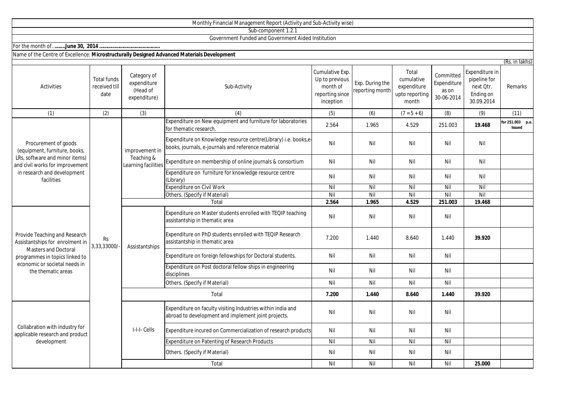|                                                                                                                                                                                          |                                      |                                                        | Monthly Financial Management Report (Activity and Sub-Activity wise)                                                 |                                                                               |                                    |                                                               |                                                 |                                                                        |                                   |
|------------------------------------------------------------------------------------------------------------------------------------------------------------------------------------------|--------------------------------------|--------------------------------------------------------|----------------------------------------------------------------------------------------------------------------------|-------------------------------------------------------------------------------|------------------------------------|---------------------------------------------------------------|-------------------------------------------------|------------------------------------------------------------------------|-----------------------------------|
|                                                                                                                                                                                          |                                      |                                                        | Sub-component 1.2.1                                                                                                  |                                                                               |                                    |                                                               |                                                 |                                                                        |                                   |
|                                                                                                                                                                                          |                                      |                                                        | Government Funded and Government Aided Institution                                                                   |                                                                               |                                    |                                                               |                                                 |                                                                        |                                   |
|                                                                                                                                                                                          |                                      |                                                        |                                                                                                                      |                                                                               |                                    |                                                               |                                                 |                                                                        |                                   |
| Name of the Centre of Excellence: Microstructurally Designed Advanced Materials Development                                                                                              |                                      |                                                        |                                                                                                                      |                                                                               |                                    |                                                               |                                                 |                                                                        |                                   |
| Activities                                                                                                                                                                               | Total funds<br>received till<br>date | Category of<br>expenditure<br>(Head of<br>expenditure) | Sub-Activity                                                                                                         | Cumulative Exp.<br>Up to previous<br>month of<br>reporting since<br>inception | Exp. During the<br>reporting month | Total<br>cumulative<br>expenditure<br>upto reporting<br>month | Committed<br>Expenditure<br>as on<br>30-06-2014 | Expenditure in<br>pipeline for<br>next Qtr.<br>Ending on<br>30.09.2014 | (Rs. in lakhs)<br>Remarks         |
| (1)                                                                                                                                                                                      | (2)                                  | (3)                                                    | (4)                                                                                                                  | (5)                                                                           | (6)                                | $(7 = 5 + 6)$                                                 | (8)                                             | (9)                                                                    | (11)                              |
| Procurement of goods<br>(equipment, furniture, books,<br>LRs, software and minor items)<br>and civil works for improvement<br>in research and development<br>facilities                  |                                      | improvement in<br>Teaching &<br>Learning facilities    | Expenditure on New equipment and furniture for laboratories<br>for thematic research.                                | 2.564                                                                         | 1.965                              | 4.529                                                         | 251.003                                         | 19.468                                                                 | for 251.003 p.o.<br><b>Issued</b> |
|                                                                                                                                                                                          |                                      |                                                        | Expenditure on Knowledge resource centre(Library) i.e. books,e<br>books, journals, e-journals and reference material | Nil                                                                           | Nil                                | Nil                                                           | Nil                                             | Nil                                                                    |                                   |
|                                                                                                                                                                                          |                                      |                                                        | Expenditure on membership of online journals & consortium                                                            | Nil                                                                           | Nil                                | Nil                                                           | Nil                                             | Nil                                                                    |                                   |
|                                                                                                                                                                                          |                                      |                                                        | Expenditure on furniture for knowledge resource centre<br>Library)                                                   | Nil                                                                           | Nil                                | Nil                                                           | Nil                                             | Nil                                                                    |                                   |
|                                                                                                                                                                                          |                                      |                                                        | Expenditure on Civil Work                                                                                            | Nil                                                                           | Nil                                | Nil                                                           | Nil                                             | Nil                                                                    |                                   |
|                                                                                                                                                                                          |                                      |                                                        | Others. (Specify if Material)                                                                                        | Nil                                                                           | Nil                                | Nil                                                           | Nil                                             | Nil                                                                    |                                   |
|                                                                                                                                                                                          |                                      |                                                        | Total                                                                                                                | 2.564                                                                         | 1.965                              | 4.529                                                         | 251.003                                         | 19.468                                                                 |                                   |
| Provide Teaching and Research<br>Assistantships for enrolment in<br><b>Masters and Doctoral</b><br>programmes in topics linked to<br>economic or societal needs in<br>the thematic areas | <b>Rs</b><br>3,33,33000/-            | Assistantships                                         | Expenditure on Master students enrolled with TEQIP teaching<br>assistantship in thematic area                        | Nil                                                                           | Nil                                | Nil                                                           | Nil                                             |                                                                        |                                   |
|                                                                                                                                                                                          |                                      |                                                        | Expenditure on PhD students enrolled with TEQIP Research<br>assistantship in thematic area                           | 7.200                                                                         | 1.440                              | 8.640                                                         | 1.440                                           | 39.920                                                                 |                                   |
|                                                                                                                                                                                          |                                      |                                                        | Expenditure on foreign fellowships for Doctoral students.                                                            | Nil                                                                           | Nil                                | Nil                                                           | Nil                                             |                                                                        |                                   |
|                                                                                                                                                                                          |                                      |                                                        | Expenditure on Post doctoral fellow ships in engineering<br>disciplines                                              | Nil                                                                           | Nil                                | Nil                                                           | Nil                                             |                                                                        |                                   |
|                                                                                                                                                                                          |                                      |                                                        | Others. (Specify if Material)                                                                                        | Nil                                                                           | Nil                                | Nil                                                           | Nil                                             |                                                                        |                                   |
|                                                                                                                                                                                          |                                      | Total                                                  |                                                                                                                      | 7.200                                                                         | 1.440                              | 8.640                                                         | 1.440                                           | 39.920                                                                 |                                   |
| Collabration with industry for<br>applicable research and product<br>development                                                                                                         |                                      | I-I-I- Cells                                           | Expenditure on faculty visiting Industries within india and<br>abroad to development and implement joint projects.   | Nil                                                                           | Nil                                | Nil                                                           | Nil                                             |                                                                        |                                   |
|                                                                                                                                                                                          |                                      |                                                        | Expenditure incured on Commercialization of research products                                                        | Nil                                                                           | Nil                                | Nil                                                           | Nil                                             |                                                                        |                                   |
|                                                                                                                                                                                          |                                      |                                                        | Expenditure on Patenting of Research Products                                                                        | Nil                                                                           | Nil                                | Nil                                                           | Nil                                             |                                                                        |                                   |
|                                                                                                                                                                                          |                                      |                                                        | Others. (Specify if Material)                                                                                        | Nil                                                                           | Nil                                | Nil                                                           | Nil                                             |                                                                        |                                   |
|                                                                                                                                                                                          |                                      |                                                        | Total                                                                                                                | Nil                                                                           | Nil                                | Nil                                                           | Nil                                             | 25.000                                                                 |                                   |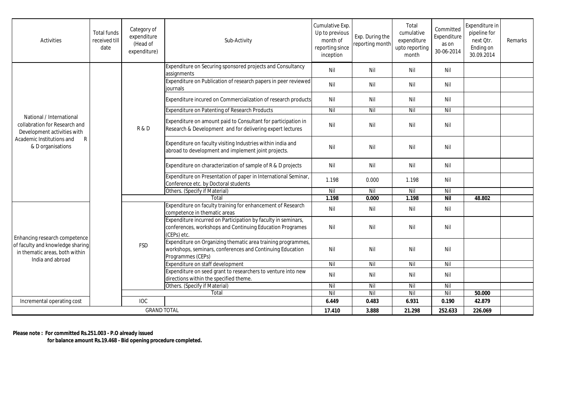| Activities                                                                                                                                                 | <b>Total funds</b><br>received till<br>date | Category of<br>expenditure<br>(Head of<br>expenditure) | Sub-Activity                                                                                                                                   | Cumulative Exp.<br>Up to previous<br>month of<br>reporting since<br>inception | Exp. During the<br>reporting month | Total<br>cumulative<br>expenditure<br>upto reporting<br>month | Committed<br>Expenditure<br>as on<br>30-06-2014 | Expenditure in<br>pipeline for<br>next Otr.<br>Ending on<br>30.09.2014 | Remarks |
|------------------------------------------------------------------------------------------------------------------------------------------------------------|---------------------------------------------|--------------------------------------------------------|------------------------------------------------------------------------------------------------------------------------------------------------|-------------------------------------------------------------------------------|------------------------------------|---------------------------------------------------------------|-------------------------------------------------|------------------------------------------------------------------------|---------|
| National / International<br>collabration for Research and<br>Development activities with<br>Academic Institutions and<br>$\mathsf{R}$<br>& D organisations |                                             | R & D                                                  | Expenditure on Securing sponsored projects and Consultancy<br>assignments                                                                      | Nil                                                                           | Nil                                | Nil                                                           | Nil                                             |                                                                        |         |
|                                                                                                                                                            |                                             |                                                        | Expenditure on Publication of research papers in peer reviewed<br>journals                                                                     | Nil                                                                           | Nil                                | Nil                                                           | Nil                                             |                                                                        |         |
|                                                                                                                                                            |                                             |                                                        | Expenditure incured on Commercialization of research products                                                                                  | Nil                                                                           | Nil                                | Nil                                                           | Nil                                             |                                                                        |         |
|                                                                                                                                                            |                                             |                                                        | <b>Expenditure on Patenting of Research Products</b>                                                                                           | Nil                                                                           | Nil                                | Nil                                                           | Nil                                             |                                                                        |         |
|                                                                                                                                                            |                                             |                                                        | Expenditure on amount paid to Consultant for participation in<br>Research & Development and for delivering expert lectures                     | Nil                                                                           | Nil                                | Nil                                                           | Nil                                             |                                                                        |         |
|                                                                                                                                                            |                                             |                                                        | Expenditure on faculty visiting Industries within india and<br>abroad to development and implement joint projects.                             | Nil                                                                           | Nil                                | Nil                                                           | Nil                                             |                                                                        |         |
|                                                                                                                                                            |                                             |                                                        | Expenditure on characterization of sample of R & D projects                                                                                    | Nil                                                                           | Nil                                | Nil                                                           | Nil                                             |                                                                        |         |
|                                                                                                                                                            |                                             |                                                        | Expenditure on Presentation of paper in International Seminar,<br>Conference etc. by Doctoral students                                         | 1.198                                                                         | 0.000                              | 1.198                                                         | Nil                                             |                                                                        |         |
|                                                                                                                                                            |                                             |                                                        | Others. (Specify if Material)                                                                                                                  | Nil                                                                           | Nil                                | Nil                                                           | Nil                                             |                                                                        |         |
|                                                                                                                                                            |                                             | Total                                                  |                                                                                                                                                | 1.198                                                                         | 0.000                              | 1.198                                                         | Nil                                             | 48.802                                                                 |         |
| Enhancing research competence<br>of faculty and knowledge sharing<br>in thematic areas, both within<br>India and abroad                                    |                                             | <b>FSD</b>                                             | Expenditure on faculty training for enhancement of Research<br>competence in thematic areas                                                    | Nil                                                                           | Nil                                | Nil                                                           | Nil                                             |                                                                        |         |
|                                                                                                                                                            |                                             |                                                        | Expenditure incurred on Participation by faculty in seminars,<br>conferences, workshops and Continuing Education Programes<br>(CEPs) etc.      | Nil                                                                           | Nil                                | Nil                                                           | Nil                                             |                                                                        |         |
|                                                                                                                                                            |                                             |                                                        | Expenditure on Organizing thematic area training programmes,<br>workshops, seminars, conferences and Continuing Education<br>Programmes (CEPs) | Nil                                                                           | Nil                                | Nil                                                           | Nil                                             |                                                                        |         |
|                                                                                                                                                            |                                             |                                                        | Expenditure on staff development                                                                                                               | Nil                                                                           | Nil                                | Nil                                                           | Nil                                             |                                                                        |         |
|                                                                                                                                                            |                                             |                                                        | Expenditure on seed grant to researchers to venture into new                                                                                   | Nil                                                                           | Nil                                | Nil                                                           | Nil                                             |                                                                        |         |
|                                                                                                                                                            |                                             |                                                        | directions within the specified theme.                                                                                                         |                                                                               |                                    |                                                               |                                                 |                                                                        |         |
|                                                                                                                                                            |                                             |                                                        | Others. (Specify if Material)<br>Total                                                                                                         | Nil<br>Nil                                                                    | Nil<br>Nil                         | Nil<br>Nil                                                    | Nil<br>Nil                                      | 50.000                                                                 |         |
|                                                                                                                                                            |                                             | <b>IOC</b>                                             |                                                                                                                                                | 6.449                                                                         | 0.483                              | 6.931                                                         | 0.190                                           | 42.879                                                                 |         |
| Incremental operating cost                                                                                                                                 |                                             |                                                        |                                                                                                                                                |                                                                               |                                    |                                                               |                                                 |                                                                        |         |
| <b>GRAND TOTAL</b>                                                                                                                                         |                                             |                                                        | 17.410                                                                                                                                         | 3.888                                                                         | 21.298                             | 252.633                                                       | 226.069                                         |                                                                        |         |

**Please note : For committed Rs.251.003 - P.O already issued** 

 **for balance amount Rs.19.468 - Bid opening procedure completed.**